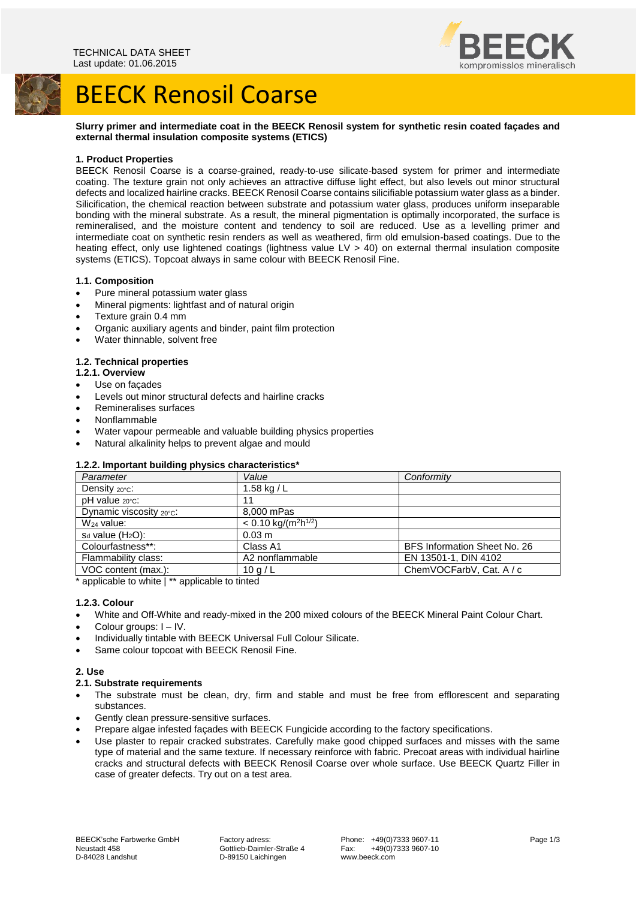



# BEECK Renosil Coarse

# **Slurry primer and intermediate coat in the BEECK Renosil system for synthetic resin coated façades and external thermal insulation composite systems (ETICS)**

# **1. Product Properties**

BEECK Renosil Coarse is a coarse-grained, ready-to-use silicate-based system for primer and intermediate coating. The texture grain not only achieves an attractive diffuse light effect, but also levels out minor structural defects and localized hairline cracks. BEECK Renosil Coarse contains silicifiable potassium water glass as a binder. Silicification, the chemical reaction between substrate and potassium water glass, produces uniform inseparable bonding with the mineral substrate. As a result, the mineral pigmentation is optimally incorporated, the surface is remineralised, and the moisture content and tendency to soil are reduced. Use as a levelling primer and intermediate coat on synthetic resin renders as well as weathered, firm old emulsion-based coatings. Due to the heating effect, only use lightened coatings (lightness value LV > 40) on external thermal insulation composite systems (ETICS). Topcoat always in same colour with BEECK Renosil Fine.

#### **1.1. Composition**

- Pure mineral potassium water glass
- Mineral pigments: lightfast and of natural origin
- Texture grain 0.4 mm
- Organic auxiliary agents and binder, paint film protection
- Water thinnable, solvent free

### **1.2. Technical properties**

- **1.2.1. Overview**
- Use on façades
- Levels out minor structural defects and hairline cracks
- Remineralises surfaces
- Nonflammable
- Water vapour permeable and valuable building physics properties
- Natural alkalinity helps to prevent algae and mould

# **1.2.2. Important building physics characteristics\***

| Parameter               | Value                        | Conformity                   |
|-------------------------|------------------------------|------------------------------|
| Density 20°C.           | 1.58 kg / L                  |                              |
| pH value 20°C.          | 11                           |                              |
| Dynamic viscosity 20°C: | 8.000 mPas                   |                              |
| $W24$ value:            | $< 0.10 \text{ kg/(m2h1/2)}$ |                              |
| $s_d$ value $(H_2O)$ :  | $0.03 \; m$                  |                              |
| Colourfastness**:       | Class A1                     | BFS Information Sheet No. 26 |
| Flammability class:     | A2 nonflammable              | EN 13501-1, DIN 4102         |
| VOC content (max.):     | 10q/L                        | ChemVOCFarbV, Cat. A / c     |

\* applicable to white  $\vert$  \*\* applicable to tinted

# **1.2.3. Colour**

White and Off-White and ready-mixed in the 200 mixed colours of the BEECK Mineral Paint Colour Chart.

Colour groups: I – IV.

- Individually tintable with BEECK Universal Full Colour Silicate.
- Same colour topcoat with BEECK Renosil Fine.

# **2. Use**

# **2.1. Substrate requirements**

- The substrate must be clean, dry, firm and stable and must be free from efflorescent and separating substances.
- Gently clean pressure-sensitive surfaces.
- Prepare algae infested façades with BEECK Fungicide according to the factory specifications.
- Use plaster to repair cracked substrates. Carefully make good chipped surfaces and misses with the same type of material and the same texture. If necessary reinforce with fabric. Precoat areas with individual hairline cracks and structural defects with BEECK Renosil Coarse over whole surface. Use BEECK Quartz Filler in case of greater defects. Try out on a test area.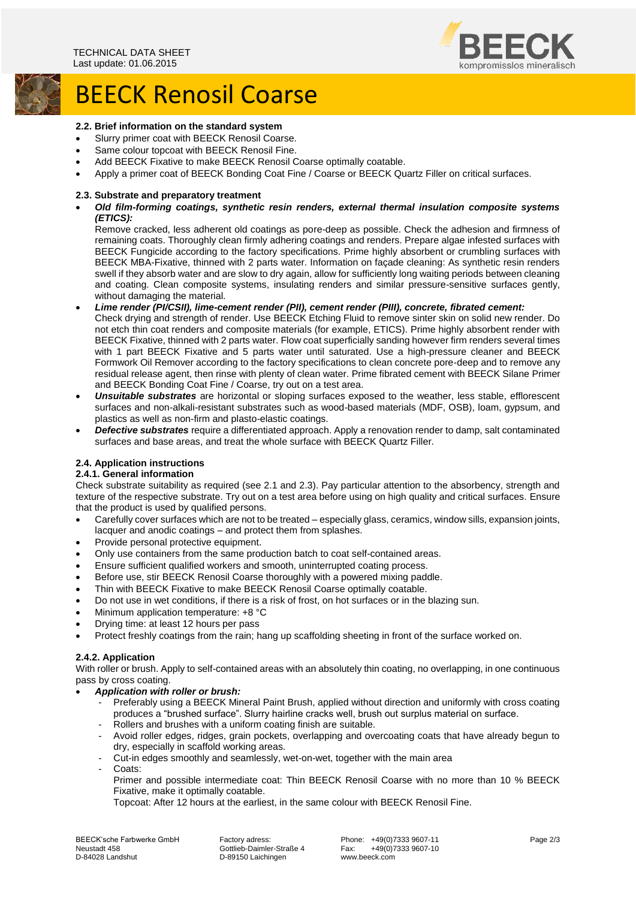

# BEECK Renosil Coarse

### **2.2. Brief information on the standard system**

- Slurry primer coat with BEECK Renosil Coarse.
- Same colour topcoat with BEECK Renosil Fine.
- Add BEECK Fixative to make BEECK Renosil Coarse optimally coatable.
- Apply a primer coat of BEECK Bonding Coat Fine / Coarse or BEECK Quartz Filler on critical surfaces.

#### **2.3. Substrate and preparatory treatment**

 *Old film-forming coatings, synthetic resin renders, external thermal insulation composite systems (ETICS):*

Remove cracked, less adherent old coatings as pore-deep as possible. Check the adhesion and firmness of remaining coats. Thoroughly clean firmly adhering coatings and renders. Prepare algae infested surfaces with BEECK Fungicide according to the factory specifications. Prime highly absorbent or crumbling surfaces with BEECK MBA-Fixative, thinned with 2 parts water. Information on façade cleaning: As synthetic resin renders swell if they absorb water and are slow to dry again, allow for sufficiently long waiting periods between cleaning and coating. Clean composite systems, insulating renders and similar pressure-sensitive surfaces gently, without damaging the material.

- *Lime render (PI/CSII), lime-cement render (PII), cement render (PIII), concrete, fibrated cement:* Check drying and strength of render. Use BEECK Etching Fluid to remove sinter skin on solid new render. Do not etch thin coat renders and composite materials (for example, ETICS). Prime highly absorbent render with BEECK Fixative, thinned with 2 parts water. Flow coat superficially sanding however firm renders several times with 1 part BEECK Fixative and 5 parts water until saturated. Use a high-pressure cleaner and BEECK Formwork Oil Remover according to the factory specifications to clean concrete pore-deep and to remove any residual release agent, then rinse with plenty of clean water. Prime fibrated cement with BEECK Silane Primer and BEECK Bonding Coat Fine / Coarse, try out on a test area.
- *Unsuitable substrates* are horizontal or sloping surfaces exposed to the weather, less stable, efflorescent surfaces and non-alkali-resistant substrates such as wood-based materials (MDF, OSB), loam, gypsum, and plastics as well as non-firm and plasto-elastic coatings.
- *Defective substrates* require a differentiated approach. Apply a renovation render to damp, salt contaminated surfaces and base areas, and treat the whole surface with BEECK Quartz Filler.

### **2.4. Application instructions**

# **2.4.1. General information**

Check substrate suitability as required (see 2.1 and 2.3). Pay particular attention to the absorbency, strength and texture of the respective substrate. Try out on a test area before using on high quality and critical surfaces. Ensure that the product is used by qualified persons.

- Carefully cover surfaces which are not to be treated especially glass, ceramics, window sills, expansion joints, lacquer and anodic coatings – and protect them from splashes.
- Provide personal protective equipment.
- Only use containers from the same production batch to coat self-contained areas.
- Ensure sufficient qualified workers and smooth, uninterrupted coating process.
- Before use, stir BEECK Renosil Coarse thoroughly with a powered mixing paddle.
- Thin with BEECK Fixative to make BEECK Renosil Coarse optimally coatable.
- Do not use in wet conditions, if there is a risk of frost, on hot surfaces or in the blazing sun.
- Minimum application temperature: +8 °C
- Drying time: at least 12 hours per pass
- Protect freshly coatings from the rain; hang up scaffolding sheeting in front of the surface worked on.

#### **2.4.2. Application**

With roller or brush. Apply to self-contained areas with an absolutely thin coating, no overlapping, in one continuous pass by cross coating.

#### *Application with roller or brush:*

- Preferably using a BEECK Mineral Paint Brush, applied without direction and uniformly with cross coating produces a "brushed surface". Slurry hairline cracks well, brush out surplus material on surface.
- Rollers and brushes with a uniform coating finish are suitable.
- Avoid roller edges, ridges, grain pockets, overlapping and overcoating coats that have already begun to dry, especially in scaffold working areas.
- Cut-in edges smoothly and seamlessly, wet-on-wet, together with the main area
- Coats:
	- Primer and possible intermediate coat: Thin BEECK Renosil Coarse with no more than 10 % BEECK Fixative, make it optimally coatable.

Topcoat: After 12 hours at the earliest, in the same colour with BEECK Renosil Fine.

BEECK'sche Farbwerke GmbH Factory adress: Phone: +49(0)7333 9607-11 Page 2/3<br>Neustadt 458 Fax: +49(0)7333 9607-10 Neustadt 458 Gottlieb-Daimler-Straße 4 Fax: +49(0)7333 9607-10

D-89150 Laichingen